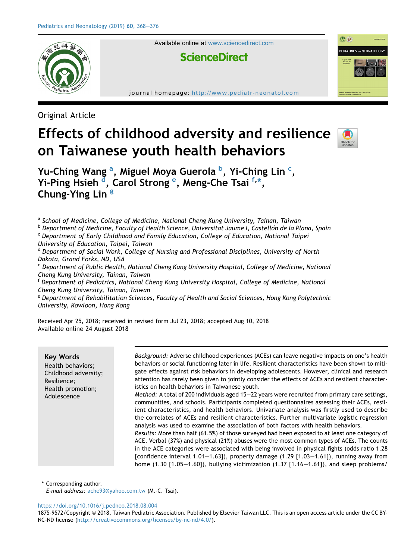

Available online at [www.sciencedirect.com](www.sciencedirect.com/science/journal/18759572)



journal homepage: <http://www.pediatr-neonatol.com>

Original Article

# Effects of childhood adversity and resilience on Taiwanese youth health behaviors



<u>කි ව</u>

**PEDIATRICS and NEONATOLOGY** 

Yu-Ching Wang <sup>a</sup>, Miguel Moya Guerola <sup>b</sup>, Yi-Ching Lin <sup>c</sup>, Yi-Ping Hsieh <sup>d</sup>, Carol Strong <sup>e</sup>, Meng-Che Tsai <sup>f,\*</sup>, Chung-Ying Lin<sup>g</sup>

<sup>a</sup> School of Medicine, College of Medicine, National Cheng Kung University, Tainan, Taiwan

 $\overline{D}$  Department of Medicine, Faculty of Health Science, Universitat Jaume I, Castellón de la Plana, Spain  $\overline{C}$  Department of Early Childhood and Family Education, College of Education, National Taipei

University of Education, Taipei, Taiwan

<sup>d</sup> Department of Social Work, College of Nursing and Professional Disciplines, University of North Dakota, Grand Forks, ND, USA

<sup>e</sup> Department of Public Health, National Cheng Kung University Hospital, College of Medicine, National Cheng Kung University, Tainan, Taiwan

<sup>f</sup> Department of Pediatrics, National Cheng Kung University Hospital, College of Medicine, National Cheng Kung University, Tainan, Taiwan

<sup>g</sup> Department of Rehabilitation Sciences, Faculty of Health and Social Sciences, Hong Kong Polytechnic University, Kowloon, Hong Kong

Received Apr 25, 2018; received in revised form Jul 23, 2018; accepted Aug 10, 2018 Available online 24 August 2018

Key Words Health behaviors; Childhood adversity; Resilience; Health promotion; Adolescence

Background: Adverse childhood experiences (ACEs) can leave negative impacts on one's health behaviors or social functioning later in life. Resilient characteristics have been shown to mitigate effects against risk behaviors in developing adolescents. However, clinical and research attention has rarely been given to jointly consider the effects of ACEs and resilient characteristics on health behaviors in Taiwanese youth.

Method: A total of 200 individuals aged 15–22 years were recruited from primary care settings, communities, and schools. Participants completed questionnaires assessing their ACEs, resilient characteristics, and health behaviors. Univariate analysis was firstly used to describe the correlates of ACEs and resilient characteristics. Further multivariate logistic regression analysis was used to examine the association of both factors with health behaviors.

Results: More than half (61.5%) of those surveyed had been exposed to at least one category of ACE. Verbal (37%) and physical (21%) abuses were the most common types of ACEs. The counts in the ACE categories were associated with being involved in physical fights (odds ratio 1.28 [confidence interval 1.01-1.63]), property damage (1.29  $[1.03-1.61]$ ), running away from home  $(1.30 [1.05-1.60])$ , bullying victimization  $(1.37 [1.16-1.61])$ , and sleep problems/

\* Corresponding author.

E-mail address: [ache93@yahoo.com.tw](mailto:ache93@yahoo.com.tw) (M.-C. Tsai).

<https://doi.org/10.1016/j.pedneo.2018.08.004>

1875-9572/Copyright © 2018, Taiwan Pediatric Association. Published by Elsevier Taiwan LLC. This is an open access article under the CC BY-NC-ND license (<http://creativecommons.org/licenses/by-nc-nd/4.0/>).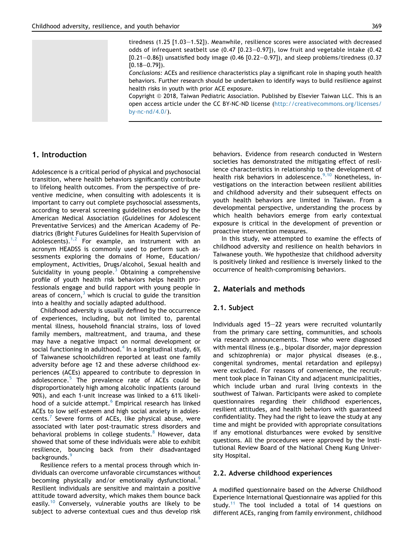tiredness  $(1.25 \, \text{[}1.03-1.52 \text{])}$ . Meanwhile, resilience scores were associated with decreased odds of infrequent seatbelt use  $(0.47 \, [0.23-0.97])$ , low fruit and vegetable intake  $(0.42 \,$  $[0.21-0.86]$ ) unsatisfied body image  $(0.46 \; [0.22-0.97])$ , and sleep problems/tiredness  $(0.37 \;$  $[0.18 - 0.79]$ .

Conclusions: ACEs and resilience characteristics play a significant role in shaping youth health behaviors. Further research should be undertaken to identify ways to build resilience against health risks in youth with prior ACE exposure.

Copyright © 2018, Taiwan Pediatric Association. Published by Elsevier Taiwan LLC. This is an open access article under the CC BY-NC-ND license [\(http://creativecommons.org/licenses/](http://creativecommons.org/licenses/by-nc-nd/4.0/) [by-nc-nd/4.0/](http://creativecommons.org/licenses/by-nc-nd/4.0/)).

#### 1. Introduction

Adolescence is a critical period of physical and psychosocial transition, where health behaviors significantly contribute to lifelong health outcomes. From the perspective of preventive medicine, when consulting with adolescents it is important to carry out complete psychosocial assessments, according to several screening guidelines endorsed by the American Medical Association (Guidelines for Adolescent Preventative Services) and the American Academy of Pediatrics (Bright Futures Guidelines for Health Supervision of Adolescents).<sup>[1,2](#page-7-0)</sup> For example, an instrument with an acronym HEADSS is commonly used to perform such assessments exploring the domains of Home, Education/ employment, Activities, Drugs/alcohol, Sexual health and Suicidality in young people. $3$  Obtaining a comprehensive profile of youth health risk behaviors helps health professionals engage and build rapport with young people in areas of concern, $3$  which is crucial to guide the transition into a healthy and socially adapted adulthood.

Childhood adversity is usually defined by the occurrence of experiences, including, but not limited to, parental mental illness, household financial strains, loss of loved family members, maltreatment, and trauma, and these may have a negative impact on normal development or social functioning in adulthood. $4$  In a longitudinal study, 6% of Taiwanese schoolchildren reported at least one family adversity before age 12 and these adverse childhood experiences (ACEs) appeared to contribute to depression in adolescence.<sup>[5](#page-7-0)</sup> The prevalence rate of ACEs could be disproportionately high among alcoholic inpatients (around 90%), and each 1-unit increase was linked to a 61% likeli-hood of a suicide attempt.<sup>[6](#page-7-0)</sup> Empirical research has linked ACEs to low self-esteem and high social anxiety in adolescents.[7](#page-7-0) Severe forms of ACEs, like physical abuse, were associated with later post-traumatic stress disorders and behavioral problems in college students.<sup>[8](#page-7-0)</sup> However, data showed that some of these individuals were able to exhibit resilience, bouncing back from their disadvantaged backgrounds.<sup>[9](#page-7-0)</sup>

Resilience refers to a mental process through which individuals can overcome unfavorable circumstances without becoming physically and/or emotionally dysfunctional.<sup>[9](#page-7-0)</sup> Resilient individuals are sensitive and maintain a positive attitude toward adversity, which makes them bounce back easily.<sup>[10](#page-7-0)</sup> Conversely, vulnerable youths are likely to be subject to adverse contextual cues and thus develop risk behaviors. Evidence from research conducted in Western societies has demonstrated the mitigating effect of resilience characteristics in relationship to the development of health risk behaviors in adolescence.<sup>[9,10](#page-7-0)</sup> Nonetheless, investigations on the interaction between resilient abilities and childhood adversity and their subsequent effects on youth health behaviors are limited in Taiwan. From a developmental perspective, understanding the process by which health behaviors emerge from early contextual exposure is critical in the development of prevention or proactive intervention measures.

In this study, we attempted to examine the effects of childhood adversity and resilience on health behaviors in Taiwanese youth. We hypothesize that childhood adversity is positively linked and resilience is inversely linked to the occurrence of health-compromising behaviors.

#### 2. Materials and methods

#### 2.1. Subject

Individuals aged 15-22 years were recruited voluntarily from the primary care setting, communities, and schools via research announcements. Those who were diagnosed with mental illness (e.g., bipolar disorder, major depression and schizophrenia) or major physical diseases (e.g., congenital syndromes, mental retardation and epilepsy) were excluded. For reasons of convenience, the recruitment took place in Tainan City and adjacent municipalities, which include urban and rural living contexts in the southwest of Taiwan. Participants were asked to complete questionnaires regarding their childhood experiences, resilient attitudes, and health behaviors with guaranteed confidentiality. They had the right to leave the study at any time and might be provided with appropriate consultations if any emotional disturbances were evoked by sensitive questions. All the procedures were approved by the Institutional Review Board of the National Cheng Kung University Hospital.

#### 2.2. Adverse childhood experiences

A modified questionnaire based on the Adverse Childhood Experience International Questionnaire was applied for this study.<sup>[11](#page-7-0)</sup> The tool included a total of 14 questions on different ACEs, ranging from family environment, childhood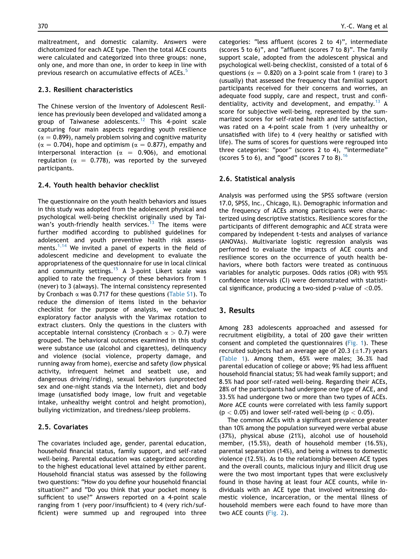maltreatment, and domestic calamity. Answers were dichotomized for each ACE type. Then the total ACE counts were calculated and categorized into three groups: none, only one, and more than one, in order to keep in line with previous research on accumulative effects of ACEs.<sup>[5](#page-7-0)</sup>

## 2.3. Resilient characteristics

The Chinese version of the Inventory of Adolescent Resilience has previously been developed and validated among a group of Taiwanese adolescents.<sup>[12](#page-7-0)</sup> This 4-point scale capturing four main aspects regarding youth resilience  $(\alpha = 0.899)$ , namely problem solving and cognitive maturity  $(\alpha = 0.704)$ , hope and optimism ( $\alpha = 0.877$ ), empathy and interpersonal interaction ( $\alpha = 0.906$ ), and emotional regulation ( $\alpha = 0.778$ ), was reported by the surveyed participants.

## 2.4. Youth health behavior checklist

The questionnaire on the youth health behaviors and issues in this study was adopted from the adolescent physical and psychological well-being checklist originally used by Tai-wan's youth-friendly health services.<sup>[13](#page-7-0)</sup> The items were further modified according to published guidelines for adolescent and youth preventive health risk assess-ments.<sup>[1,14](#page-7-0)</sup> We invited a panel of experts in the field of adolescent medicine and development to evaluate the appropriateness of the questionnaire for use in local clinical and community settings.<sup>[15](#page-7-0)</sup> A 3-point Likert scale was applied to rate the frequency of these behaviors from 1 (never) to 3 (always). The internal consistency represented by Cronbach  $\alpha$  was 0.717 for these questions (Table S1). To reduce the dimension of items listed in the behavior checklist for the purpose of analysis, we conducted exploratory factor analysis with the Varimax rotation to extract clusters. Only the questions in the clusters with acceptable internal consistency (Cronbach  $\alpha > 0.7$ ) were grouped. The behavioral outcomes examined in this study were substance use (alcohol and cigarettes), delinquency and violence (social violence, property damage, and running away from home), exercise and safety (low physical activity, infrequent helmet and seatbelt use, and dangerous driving/riding), sexual behaviors (unprotected sex and one-night stands via the Internet), diet and body image (unsatisfied body image, low fruit and vegetable intake, unhealthy weight control and height promotion), bullying victimization, and tiredness/sleep problems.

## 2.5. Covariates

The covariates included age, gender, parental education, household financial status, family support, and self-rated well-being. Parental education was categorized according to the highest educational level attained by either parent. Household financial status was assessed by the following two questions: "How do you define your household financial situation?" and "Do you think that your pocket money is sufficient to use?" Answers reported on a 4-point scale ranging from 1 (very poor/insufficient) to 4 (very rich/sufficient) were summed up and regrouped into three

categories: "less affluent (scores 2 to 4)", intermediate (scores 5 to 6)", and "affluent (scores 7 to 8)". The family support scale, adopted from the adolescent physical and psychological well-being checklist, consisted of a total of 6 questions ( $\alpha = 0.820$ ) on a 3-point scale from 1 (rare) to 3 (usually) that assessed the frequency that familial support participants received for their concerns and worries, an adequate food supply, care and respect, trust and confidentiality, activity and development, and empathy.<sup>13</sup> A score for subjective well-being, represented by the summarized scores for self-rated health and life satisfaction, was rated on a 4-point scale from 1 (very unhealthy or unsatisfied with life) to 4 (very healthy or satisfied with life). The sums of scores for questions were regrouped into three categories: "poor" (scores 2 to 4), "intermediate" (scores 5 to 6), and "good" (scores 7 to 8). $^{16}$  $^{16}$  $^{16}$ 

## 2.6. Statistical analysis

Analysis was performed using the SPSS software (version 17.0, SPSS, Inc., Chicago, IL). Demographic information and the frequency of ACEs among participants were characterized using descriptive statistics. Resilience scores for the participants of different demographic and ACE strata were compared by independent t-tests and analyses of variance (ANOVAs). Multivariate logistic regression analysis was performed to evaluate the impacts of ACE counts and resilience scores on the occurrence of youth health behaviors, where both factors were treated as continuous variables for analytic purposes. Odds ratios (OR) with 95% confidence intervals (CI) were demonstrated with statistical significance, producing a two-sided p-value of <0.05.

# 3. Results

Among 283 adolescents approached and assessed for recruitment eligibility, a total of 200 gave their written consent and completed the questionnaires ([Fig. 1](#page-3-0)). These recruited subjects had an average age of 20.3  $(\pm 1.7)$  years [\(Table 1](#page-4-0)). Among them, 65% were males; 36.3% had parental education of college or above; 9% had less affluent household financial status; 5% had weak family support; and 8.5% had poor self-rated well-being. Regarding their ACEs, 28% of the participants had undergone one type of ACE, and 33.5% had undergone two or more than two types of ACEs. More ACE counts were correlated with less family support  $(p < 0.05)$  and lower self-rated well-being  $(p < 0.05)$ .

The common ACEs with a significant prevalence greater than 10% among the population surveyed were verbal abuse (37%), physical abuse (21%), alcohol use of household member, (15.5%), death of household member (16.5%), parental separation (14%), and being a witness to domestic violence (12.5%). As to the relationship between ACE types and the overall counts, malicious injury and illicit drug use were the two most important types that were exclusively found in those having at least four ACE counts, while individuals with an ACE type that involved witnessing domestic violence, incarceration, or the mental illness of household members were each found to have more than two ACE counts [\(Fig. 2\)](#page-4-0).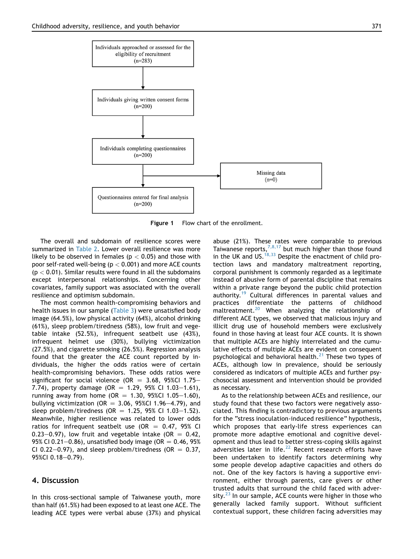<span id="page-3-0"></span>

Figure 1 Flow chart of the enrollment.

The overall and subdomain of resilience scores were summarized in [Table 2.](#page-5-0) Lower overall resilience was more likely to be observed in females ( $p < 0.05$ ) and those with poor self-rated well-being ( $p < 0.001$ ) and more ACE counts  $(p < 0.01)$ . Similar results were found in all the subdomains except interpersonal relationships. Concerning other covariates, family support was associated with the overall resilience and optimism subdomain.

The most common health-compromising behaviors and health issues in our sample ([Table 3](#page-6-0)) were unsatisfied body image (64.5%), low physical activity (64%), alcohol drinking (61%), sleep problem/tiredness (58%), low fruit and vegetable intake (52.5%), infrequent seatbelt use (43%), infrequent helmet use (30%), bullying victimization (27.5%), and cigarette smoking (26.5%). Regression analysis found that the greater the ACE count reported by individuals, the higher the odds ratios were of certain health-compromising behaviors. These odds ratios were significant for social violence (OR = 3.68, 95%CI 1.75-7.74), property damage (OR = 1.29, 95% CI 1.03-1.61), running away from home (OR = 1.30, 95%CI 1.05-1.60), bullying victimization (OR = 3.06, 95%CI 1.96-4.79), and sleep problem/tiredness (OR = 1.25, 95% CI 1.03-1.52). Meanwhile, higher resilience was related to lower odds ratios for infrequent seatbelt use (OR  $=$  0.47, 95% CI 0.23–0.97), low fruit and vegetable intake (OR  $=$  0.42, 95% CI 0.21–0.86), unsatisfied body image (OR  $= 0.46$ , 95% CI 0.22–0.97), and sleep problem/tiredness (OR  $= 0.37$ , 95%CI  $0.18 - 0.79$ ).

#### 4. Discussion

In this cross-sectional sample of Taiwanese youth, more than half (61.5%) had been exposed to at least one ACE. The leading ACE types were verbal abuse (37%) and physical abuse (21%). These rates were comparable to previous Taiwanese reports,  $7,8,17$  but much higher than those found in the UK and US. $^{18,33}$  $^{18,33}$  $^{18,33}$  Despite the enactment of child protection laws and mandatory maltreatment reporting, corporal punishment is commonly regarded as a legitimate instead of abusive form of parental discipline that remains within a private range beyond the public child protection authority.<sup>19</sup> Cultural differences in parental values and practices differentiate the patterns of childhood maltreatment.[20](#page-7-0) When analyzing the relationship of different ACE types, we observed that malicious injury and illicit drug use of household members were exclusively found in those having at least four ACE counts. It is shown that multiple ACEs are highly interrelated and the cumulative effects of multiple ACEs are evident on consequent psychological and behavioral health.<sup>[21](#page-7-0)</sup> These two types of ACEs, although low in prevalence, should be seriously considered as indicators of multiple ACEs and further psychosocial assessment and intervention should be provided as necessary.

As to the relationship between ACEs and resilience, our study found that these two factors were negatively associated. This finding is contradictory to previous arguments for the "stress inoculation-induced resilience" hypothesis, which proposes that early-life stress experiences can promote more adaptive emotional and cognitive development and thus lead to better stress-coping skills against adversities later in life. $22$  Recent research efforts have been undertaken to identify factors determining why some people develop adaptive capacities and others do not. One of the key factors is having a supportive environment, either through parents, care givers or other trusted adults that surround the child faced with adversity. $^{23}$  $^{23}$  $^{23}$  In our sample, ACE counts were higher in those who generally lacked family support. Without sufficient contextual support, these children facing adversities may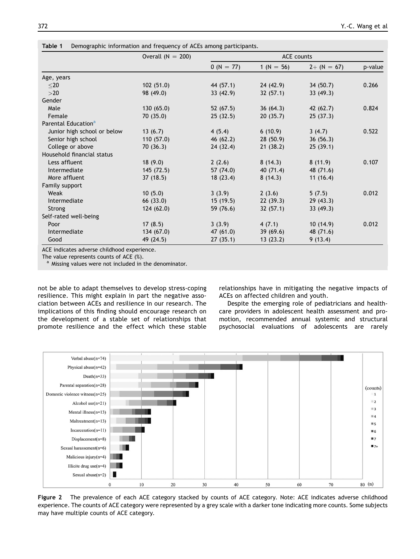<span id="page-4-0"></span>Table 1 Demographic information and frequency of ACEs among participants.

|                                 | Overall $(N = 200)$ | <b>ACE</b> counts |             |               |         |  |
|---------------------------------|---------------------|-------------------|-------------|---------------|---------|--|
|                                 |                     | $0 (N = 77)$      | $1(N = 56)$ | $2+ (N = 67)$ | p-value |  |
| Age, years                      |                     |                   |             |               |         |  |
| $<$ 20                          | 102(51.0)           | 44 (57.1)         | 24(42.9)    | 34(50.7)      | 0.266   |  |
| >20                             | 98 (49.0)           | 33(42.9)          | 32(57.1)    | 33(49.3)      |         |  |
| Gender                          |                     |                   |             |               |         |  |
| Male                            | 130(65.0)           | 52(67.5)          | 36(64.3)    | 42 (62.7)     | 0.824   |  |
| Female                          | 70 (35.0)           | 25(32.5)          | 20(35.7)    | 25(37.3)      |         |  |
| Parental Education <sup>a</sup> |                     |                   |             |               |         |  |
| Junior high school or below     | 13(6.7)             | 4(5.4)            | 6(10.9)     | 3(4.7)        | 0.522   |  |
| Senior high school              | 110(57.0)           | 46(62.2)          | 28(50.9)    | 36(56.3)      |         |  |
| College or above                | 70(36.3)            | 24 (32.4)         | 21(38.2)    | 25(39.1)      |         |  |
| Household financial status      |                     |                   |             |               |         |  |
| Less affluent                   | 18(9.0)             | 2(2.6)            | 8(14.3)     | 8(11.9)       | 0.107   |  |
| Intermediate                    | 145(72.5)           | 57 (74.0)         | 40 $(71.4)$ | 48 (71.6)     |         |  |
| More affluent                   | 37(18.5)            | 18(23.4)          | 8(14.3)     | 11(16.4)      |         |  |
| Family support                  |                     |                   |             |               |         |  |
| Weak                            | 10(5.0)             | 3(3.9)            | 2(3.6)      | 5(7.5)        | 0.012   |  |
| Intermediate                    | 66(33.0)            | 15(19.5)          | 22(39.3)    | 29(43.3)      |         |  |
| Strong                          | 124(62.0)           | 59 (76.6)         | 32(57.1)    | 33(49.3)      |         |  |
| Self-rated well-being           |                     |                   |             |               |         |  |
| Poor                            | 17(8.5)             | 3(3.9)            | 4(7.1)      | 10(14.9)      | 0.012   |  |
| Intermediate                    | 134 (67.0)          | 47 (61.0)         | 39(69.6)    | 48 (71.6)     |         |  |
| Good                            | 49 (24.5)           | 27(35.1)          | 13(23.2)    | 9(13.4)       |         |  |

ACE indicates adverse childhood experience.

The value represents counts of ACE  $(\%)$ .<br><sup>a</sup> Missing values were not included in the denominator.

not be able to adapt themselves to develop stress-coping resilience. This might explain in part the negative association between ACEs and resilience in our research. The implications of this finding should encourage research on the development of a stable set of relationships that promote resilience and the effect which these stable relationships have in mitigating the negative impacts of ACEs on affected children and youth.

Despite the emerging role of pediatricians and healthcare providers in adolescent health assessment and promotion, recommended annual systemic and structural psychosocial evaluations of adolescents are rarely



Figure 2 The prevalence of each ACE category stacked by counts of ACE category. Note: ACE indicates adverse childhood experience. The counts of ACE category were represented by a grey scale with a darker tone indicating more counts. Some subjects may have multiple counts of ACE category.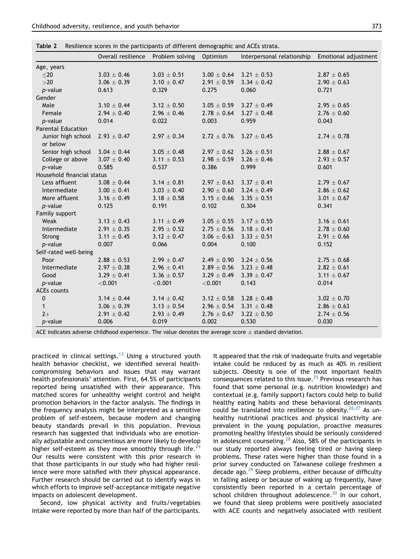<span id="page-5-0"></span>

| Table 2                    | Resilience scores in the participants of different demographic and ACEs strata. |                 |                 |                            |                      |  |  |  |
|----------------------------|---------------------------------------------------------------------------------|-----------------|-----------------|----------------------------|----------------------|--|--|--|
|                            | Overall resilience                                                              | Problem solving | Optimism        | Interpersonal relationship | Emotional adjustment |  |  |  |
| Age, years                 |                                                                                 |                 |                 |                            |                      |  |  |  |
| $<$ 20                     | $3.03 \pm 0.46$                                                                 | $3.03 \pm 0.51$ | $3.00 \pm 0.64$ | $3.21 \pm 0.53$            | $2.87 \pm 0.65$      |  |  |  |
| >20                        | $3.06 \pm 0.39$                                                                 | $3.10 \pm 0.47$ | $2.91 \pm 0.59$ | $3.34 \pm 0.42$            | $2.90 \pm 0.63$      |  |  |  |
| p-value                    | 0.613                                                                           | 0.329           | 0.275           | 0.060                      | 0.721                |  |  |  |
| Gender                     |                                                                                 |                 |                 |                            |                      |  |  |  |
| Male                       | $3.10 \pm 0.44$                                                                 | $3.12 \pm 0.50$ | $3.05 \pm 0.59$ | $3.27 \pm 0.49$            | $2.95 \pm 0.65$      |  |  |  |
| Female                     | $2.94 \pm 0.40$                                                                 | $2.96 \pm 0.46$ | $2.78 \pm 0.64$ | $3.27 \pm 0.48$            | $2.76 \pm 0.60$      |  |  |  |
| p-value                    | 0.014                                                                           | 0.022           | 0.003           | 0.959                      | 0.043                |  |  |  |
| <b>Parental Education</b>  |                                                                                 |                 |                 |                            |                      |  |  |  |
| Junior high school         | $2.93 \pm 0.47$                                                                 | $2.97 \pm 0.34$ | $2.72 \pm 0.76$ | $3.27 \pm 0.45$            | $2.74 \pm 0.78$      |  |  |  |
| or below                   |                                                                                 |                 |                 |                            |                      |  |  |  |
| Senior high school         | $3.04 \pm 0.44$                                                                 | $3.05\pm0.48$   | $2.97 \pm 0.62$ | $3.26 \pm 0.51$            | $2.88 \pm 0.67$      |  |  |  |
| College or above           | $3.07 \pm 0.40$                                                                 | $3.11 \pm 0.53$ | $2.98 \pm 0.59$ | $3.26 \pm 0.46$            | $2.93 \pm 0.57$      |  |  |  |
| p-value                    | 0.585                                                                           | 0.537           | 0.386           | 0.999                      | 0.601                |  |  |  |
| Household financial status |                                                                                 |                 |                 |                            |                      |  |  |  |
| Less affluent              | $3.08 \pm 0.44$                                                                 | $3.14 \pm 0.81$ | $2.97 \pm 0.63$ | $3.37 \pm 0.41$            | $2.79 \pm 0.67$      |  |  |  |
| Intermediate               | $3.00 \pm 0.41$                                                                 | $3.03 \pm 0.40$ | $2.90 \pm 0.60$ | $3.24 \pm 0.49$            | $2.86 \pm 0.62$      |  |  |  |
| More affluent              | $3.16 \pm 0.49$                                                                 | $3.18 \pm 0.58$ | $3.15 \pm 0.66$ | $3.35 \pm 0.51$            | $3.01 \pm 0.67$      |  |  |  |
| p-value                    | 0.125                                                                           | 0.191           | 0.102           | 0.304                      | 0.341                |  |  |  |
| Family support             |                                                                                 |                 |                 |                            |                      |  |  |  |
| Weak                       | $3.13 \pm 0.43$                                                                 | $3.11 \pm 0.49$ | $3.05 \pm 0.55$ | $3.17 \pm 0.55$            | $3.16 \pm 0.61$      |  |  |  |
| Intermediate               | $2.91 \pm 0.35$                                                                 | $2.95 \pm 0.52$ | $2.75 \pm 0.56$ | $3.18 \pm 0.41$            | $2.78 \pm 0.60$      |  |  |  |
| Strong                     | $3.11 \pm 0.45$                                                                 | $3.12 \pm 0.47$ | $3.06 \pm 0.63$ | $3.33 \pm 0.51$            | $2.91 \pm 0.66$      |  |  |  |
| p-value                    | 0.007                                                                           | 0.066           | 0.004           | 0.100                      | 0.152                |  |  |  |
| Self-rated well-being      |                                                                                 |                 |                 |                            |                      |  |  |  |
| Poor                       | $2.88 \pm 0.53$                                                                 | $2.99 \pm 0.47$ | $2.49 \pm 0.90$ | $3.24 \pm 0.56$            | $2.75 \pm 0.68$      |  |  |  |
| Intermediate               | $2.97 \pm 0.38$                                                                 | $2.96 \pm 0.41$ | $2.89 \pm 0.56$ | $3.23 \pm 0.48$            | $2.82 \pm 0.61$      |  |  |  |
| Good                       | $3.29 \pm 0.41$                                                                 | $3.36 \pm 0.57$ | $3.29 \pm 0.49$ | $3.39 \pm 0.47$            | $3.11 \pm 0.67$      |  |  |  |
| p-value                    | $<$ 0.001                                                                       | < 0.001         | < 0.001         | 0.143                      | 0.014                |  |  |  |
| <b>ACEs counts</b>         |                                                                                 |                 |                 |                            |                      |  |  |  |
| 0                          | $3.14 \pm 0.44$                                                                 | $3.14 \pm 0.42$ | $3.12 \pm 0.58$ | $3.28 \pm 0.48$            | $3.02 \pm 0.70$      |  |  |  |
| $\mathbf{1}$               | $3.06 \pm 0.39$                                                                 | $3.13 \pm 0.54$ | $2.96 \pm 0.54$ | $3.31 \pm 0.48$            | $2.86 \pm 0.63$      |  |  |  |
| $2+$                       | $2.91 \pm 0.42$                                                                 | $2.93 \pm 0.49$ | $2.76 \pm 0.67$ | $3.22 \pm 0.50$            | $2.74 \pm 0.56$      |  |  |  |
| p-value                    | 0.006                                                                           | 0.019           | 0.002           | 0.530                      | 0.030                |  |  |  |

ACE indicates adverse childhood experience. The value denotes the average score  $\pm$  standard deviation.

practiced in clinical settings.<sup>13</sup> Using a structured youth health behavior checklist, we identified several healthcompromising behaviors and issues that may warrant health professionals' attention. First, 64.5% of participants reported being unsatisfied with their appearance. This matched scores for unhealthy weight control and height promotion behaviors in the factor analysis. The findings in the frequency analysis might be interpreted as a sensitive problem of self-esteem, because modern and changing beauty standards prevail in this population. Previous research has suggested that individuals who are emotionally adjustable and conscientious are more likely to develop higher self-esteem as they move smoothly through life.<sup>[24](#page-8-0)</sup> Our results were consistent with this prior research in that those participants in our study who had higher resilience were more satisfied with their physical appearance. Further research should be carried out to identify ways in which efforts to improve self-acceptance mitigate negative impacts on adolescent development.

Second, low physical activity and fruits/vegetables intake were reported by more than half of the participants. It appeared that the risk of inadequate fruits and vegetable intake could be reduced by as much as 40% in resilient subjects. Obesity is one of the most important health consequences related to this issue. $25$  Previous research has found that some personal (e.g. nutrition knowledge) and contextual (e.g. family support) factors could help to build healthy eating habits and these behavioral determinants could be translated into resilience to obesity. $26,27$  As unhealthy nutritional practices and physical inactivity are prevalent in the young population, proactive measures promoting healthy lifestyles should be seriously considered in adolescent counseling. $^{28}$  Also, 58% of the participants in our study reported always feeling tired or having sleep problems. These rates were higher than those found in a prior survey conducted on Taiwanese college freshmen a decade ago.<sup>29</sup> Sleep problems, either because of difficulty in falling asleep or because of waking up frequently, have consistently been reported in a certain percentage of school children throughout adolescence.<sup>[30](#page-8-0)</sup> In our cohort, we found that sleep problems were positively associated with ACE counts and negatively associated with resilient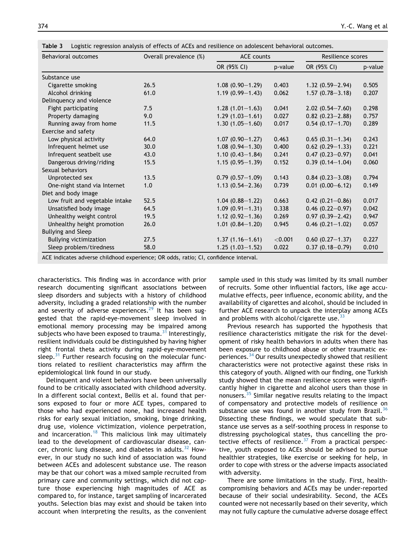| Behavioral outcomes            | Overall prevalence (%) | <b>ACE</b> counts   |         | Resilience scores   |         |
|--------------------------------|------------------------|---------------------|---------|---------------------|---------|
|                                |                        | OR (95% CI)         | p-value | OR (95% CI)         | p-value |
| Substance use                  |                        |                     |         |                     |         |
| Cigarette smoking              | 26.5                   | $1.08(0.90 - 1.29)$ | 0.403   | $1.32(0.59 - 2.94)$ | 0.505   |
| Alcohol drinking               | 61.0                   | $1.19(0.99 - 1.43)$ | 0.062   | $1.57(0.78 - 3.18)$ | 0.207   |
| Delinquency and violence       |                        |                     |         |                     |         |
| Fight participating            | 7.5                    | $1.28(1.01-1.63)$   | 0.041   | $2.02(0.54 - 7.60)$ | 0.298   |
| Property damaging              | 9.0                    | $1.29(1.03 - 1.61)$ | 0.027   | $0.82(0.23 - 2.88)$ | 0.757   |
| Running away from home         | 11.5                   | $1.30(1.05-1.60)$   | 0.017   | $0.54(0.17-1.70)$   | 0.289   |
| Exercise and safety            |                        |                     |         |                     |         |
| Low physical activity          | 64.0                   | $1.07(0.90 - 1.27)$ | 0.463   | $0.65(0.31-1.34)$   | 0.243   |
| Infrequent helmet use          | 30.0                   | $1.08(0.94 - 1.30)$ | 0.400   | $0.62$ (0.29-1.33)  | 0.221   |
| Infrequent seatbelt use        | 43.0                   | $1.10(0.43 - 1.84)$ | 0.241   | $0.47(0.23 - 0.97)$ | 0.041   |
| Dangerous driving/riding       | 15.5                   | $1.15(0.95 - 1.39)$ | 0.152   | $0.39(0.14 - 1.04)$ | 0.060   |
| Sexual behaviors               |                        |                     |         |                     |         |
| Unprotected sex                | 13.5                   | $0.79(0.57-1.09)$   | 0.143   | $0.84(0.23 - 3.08)$ | 0.794   |
| One-night stand via Internet   | 1.0                    | $1.13(0.54 - 2.36)$ | 0.739   | $0.01(0.00 - 6.12)$ | 0.149   |
| Diet and body image            |                        |                     |         |                     |         |
| Low fruit and vegetable intake | 52.5                   | $1.04(0.88 - 1.22)$ | 0.663   | $0.42(0.21 - 0.86)$ | 0.017   |
| Unsatisfied body image         | 64.5                   | $1.09(0.91 - 1.31)$ | 0.338   | $0.46$ (0.22-0.97)  | 0.042   |
| Unhealthy weight control       | 19.5                   | $1.12(0.92 - 1.36)$ | 0.269   | $0.97(0.39 - 2.42)$ | 0.947   |
| Unhealthy height promotion     | 26.0                   | $1.01(0.84 - 1.20)$ | 0.945   | $0.46$ (0.21-1.02)  | 0.057   |
| <b>Bullying and Sleep</b>      |                        |                     |         |                     |         |
| <b>Bullying victimization</b>  | 27.5                   | $1.37(1.16 - 1.61)$ | < 0.001 | $0.60(0.27 - 1.37)$ | 0.227   |
| Sleep problem/tiredness        | 58.0                   | $1.25(1.03 - 1.52)$ | 0.022   | $0.37(0.18 - 0.79)$ | 0.010   |

<span id="page-6-0"></span>Table 3 Logistic regression analysis of effects of ACEs and resilience on adolescent behavioral outcomes.

ACE indicates adverse childhood experience; OR odds, ratio; CI, confidence interval.

characteristics. This finding was in accordance with prior research documenting significant associations between sleep disorders and subjects with a history of childhood adversity, including a graded relationship with the number and severity of adverse experiences. $29$  It has been suggested that the rapid-eye-movement sleep involved in emotional memory processing may be impaired among subjects who have been exposed to trauma.<sup>[31](#page-8-0)</sup> Interestingly, resilient individuals could be distinguished by having higher right frontal theta activity during rapid-eye-movement sleep. $31$  Further research focusing on the molecular functions related to resilient characteristics may affirm the epidemiological link found in our study.

Delinquent and violent behaviors have been universally found to be critically associated with childhood adversity. In a different social context, Bellis et al. found that persons exposed to four or more ACE types, compared to those who had experienced none, had increased health risks for early sexual initiation, smoking, binge drinking, drug use, violence victimization, violence perpetration, and incarceration.<sup>[18](#page-7-0)</sup> This malicious link may ultimately lead to the development of cardiovascular disease, cancer, chronic lung disease, and diabetes in adults. $32$  However, in our study no such kind of association was found between ACEs and adolescent substance use. The reason may be that our cohort was a mixed sample recruited from primary care and community settings, which did not capture those experiencing high magnitudes of ACE as compared to, for instance, target sampling of incarcerated youths. Selection bias may exist and should be taken into account when interpreting the results, as the convenient sample used in this study was limited by its small number of recruits. Some other influential factors, like age accumulative effects, peer influence, economic ability, and the availability of cigarettes and alcohol, should be included in further ACE research to unpack the interplay among ACEs and problems with alcohol/cigarette use.  $33$ 

Previous research has supported the hypothesis that resilience characteristics mitigate the risk for the development of risky health behaviors in adults when there has been exposure to childhood abuse or other traumatic ex-periences.<sup>[34](#page-8-0)</sup> Our results unexpectedly showed that resilient characteristics were not protective against these risks in this category of youth. Aligned with our finding, one Turkish study showed that the mean resilience scores were significantly higher in cigarette and alcohol users than those in nonusers.[35](#page-8-0) Similar negative results relating to the impact of compensatory and protective models of resilience on substance use was found in another study from Brazil.<sup>[36](#page-8-0)</sup> Dissecting these findings, we would speculate that substance use serves as a self-soothing process in response to distressing psychological states, thus cancelling the protective effects of resilience. $37$  From a practical perspective, youth exposed to ACEs should be advised to pursue healthier strategies, like exercise or seeking for help, in order to cope with stress or the adverse impacts associated with adversity.

There are some limitations in the study. First, healthcompromising behaviors and ACEs may be under-reported because of their social undesirability. Second, the ACEs counted were not necessarily based on their severity, which may not fully capture the cumulative adverse dosage effect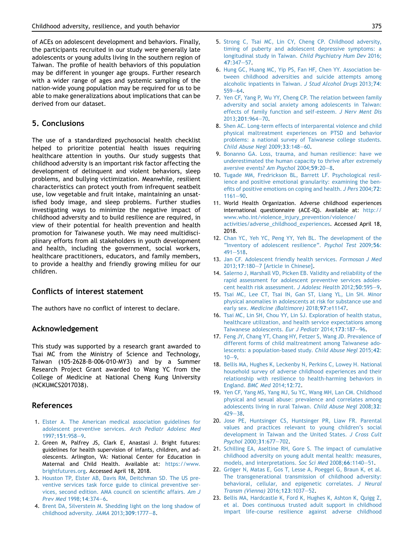<span id="page-7-0"></span>of ACEs on adolescent development and behaviors. Finally, the participants recruited in our study were generally late adolescents or young adults living in the southern region of Taiwan. The profile of health behaviors of this population may be different in younger age groups. Further research with a wider range of ages and systemic sampling of the nation-wide young population may be required for us to be able to make generalizations about implications that can be derived from our dataset.

# 5. Conclusions

The use of a standardized psychosocial health checklist helped to prioritize potential health issues requiring healthcare attention in youths. Our study suggests that childhood adversity is an important risk factor affecting the development of delinquent and violent behaviors, sleep problems, and bullying victimization. Meanwhile, resilient characteristics can protect youth from infrequent seatbelt use, low vegetable and fruit intake, maintaining an unsatisfied body image, and sleep problems. Further studies investigating ways to minimize the negative impact of childhood adversity and to build resilience are required, in view of their potential for health prevention and health promotion for Taiwanese youth. We may need multidisciplinary efforts from all stakeholders in youth development and health, including the government, social workers, healthcare practitioners, educators, and family members, to provide a healthy and friendly growing milieu for our children.

# Conflicts of interest statement

The authors have no conflict of interest to declare.

#### Acknowledgement

This study was supported by a research grant awarded to Tsai MC from the Ministry of Science and Technology, Taiwan (105-2628-B-006-010-MY3) and by a Summer Research Project Grant awarded to Wang YC from the College of Medicine at National Cheng Kung University (NCKUMCS2017038).

# References

- 1. [Elster A. The American medical association guidelines for](http://refhub.elsevier.com/S1875-9572(18)30256-0/sref1) [adolescent preventive services.](http://refhub.elsevier.com/S1875-9572(18)30256-0/sref1) Arch Pediatr Adolesc Med [1997;](http://refhub.elsevier.com/S1875-9572(18)30256-0/sref1)151:[9](http://refhub.elsevier.com/S1875-9572(18)30256-0/sref1)58-9.
- 2. Green M, Palfrey JS, Clark E, Anastasi J. Bright futures: guidelines for health supervision of infants, children, and adolescents. Arlington, VA: National Center for Education in Maternal and Child Health. Available at: [https://www.](https://www.brightfutures.org) [brightfutures.org](https://www.brightfutures.org). Accessed April 18, 2018.
- 3. [Houston TP, Elster AB, Davis RM, Deitchman SD. The US pre](http://refhub.elsevier.com/S1875-9572(18)30256-0/sref3)[ventive services task force guide to clinical preventive ser](http://refhub.elsevier.com/S1875-9572(18)30256-0/sref3)[vices, second edition. AMA council on scientific affairs.](http://refhub.elsevier.com/S1875-9572(18)30256-0/sref3) Am J [Prev Med](http://refhub.elsevier.com/S1875-9572(18)30256-0/sref3) 1998;14:374-[6](http://refhub.elsevier.com/S1875-9572(18)30256-0/sref3).
- 4. [Brent DA, Silverstein M. Shedding light on the long shadow of](http://refhub.elsevier.com/S1875-9572(18)30256-0/sref4) [childhood adversity.](http://refhub.elsevier.com/S1875-9572(18)30256-0/sref4) JAMA  $2013;309:1777-8$ .
- 5. [Strong C, Tsai MC, Lin CY, Cheng CP. Childhood adversity,](http://refhub.elsevier.com/S1875-9572(18)30256-0/sref5) [timing of puberty and adolescent depressive symptoms: a](http://refhub.elsevier.com/S1875-9572(18)30256-0/sref5) [longitudinal study in Taiwan.](http://refhub.elsevier.com/S1875-9572(18)30256-0/sref5) Child Psychiatry Hum Dev 2016; 47[:347](http://refhub.elsevier.com/S1875-9572(18)30256-0/sref5)-[57](http://refhub.elsevier.com/S1875-9572(18)30256-0/sref5).
- 6. [Hung GC, Huang MC, Yip PS, Fan HF, Chen YY. Association be](http://refhub.elsevier.com/S1875-9572(18)30256-0/sref6)[tween childhood adversities and suicide attempts among](http://refhub.elsevier.com/S1875-9572(18)30256-0/sref6) [alcoholic inpatients in Taiwan.](http://refhub.elsevier.com/S1875-9572(18)30256-0/sref6) J Stud Alcohol Drugs 2013;74:  $559 - 64.$  $559 - 64.$  $559 - 64.$  $559 - 64.$
- 7. [Yen CF, Yang P, Wu YY, Cheng CP. The relation between family](http://refhub.elsevier.com/S1875-9572(18)30256-0/sref7) [adversity and social anxiety among adolescents in Taiwan:](http://refhub.elsevier.com/S1875-9572(18)30256-0/sref7) [effects of family function and self-esteem.](http://refhub.elsevier.com/S1875-9572(18)30256-0/sref7) J Nerv Ment Dis [2013;](http://refhub.elsevier.com/S1875-9572(18)30256-0/sref7)201:964-[70](http://refhub.elsevier.com/S1875-9572(18)30256-0/sref7).
- 8. [Shen AC. Long-term effects of interparental violence and child](http://refhub.elsevier.com/S1875-9572(18)30256-0/sref8) [physical maltreatment experiences on PTSD and behavior](http://refhub.elsevier.com/S1875-9572(18)30256-0/sref8) [problems: a national survey of Taiwanese college students.](http://refhub.elsevier.com/S1875-9572(18)30256-0/sref8) [Child Abuse Negl](http://refhub.elsevier.com/S1875-9572(18)30256-0/sref8) 2009;33:148-[60.](http://refhub.elsevier.com/S1875-9572(18)30256-0/sref8)
- 9. [Bonanno GA. Loss, trauma, and human resilience: have we](http://refhub.elsevier.com/S1875-9572(18)30256-0/sref9) [underestimated the human capacity to thrive after extremely](http://refhub.elsevier.com/S1875-9572(18)30256-0/sref9) [aversive events?](http://refhub.elsevier.com/S1875-9572(18)30256-0/sref9) Am Psychol  $2004;59:20-8$ .
- 10. [Tugade MM, Fredrickson BL, Barrett LF. Psychological resil](http://refhub.elsevier.com/S1875-9572(18)30256-0/sref10)[ience and positive emotional granularity: examining the ben](http://refhub.elsevier.com/S1875-9572(18)30256-0/sref10)[efits of positive emotions on coping and health.](http://refhub.elsevier.com/S1875-9572(18)30256-0/sref10) J Pers 2004;72:  $1161 - 90.$  $1161 - 90.$  $1161 - 90.$  $1161 - 90.$
- 11. World Health Organization. Adverse childhood experiences international questionnaire (ACE-IQ). Available at: [http://](http://www.who.int/violence_injury_prevention/violence/activities/adverse_childhood_experiences) [www.who.int/violence\\_injury\\_prevention/violence/](http://www.who.int/violence_injury_prevention/violence/activities/adverse_childhood_experiences) [activities/adverse\\_childhood\\_experiences](http://www.who.int/violence_injury_prevention/violence/activities/adverse_childhood_experiences). Accessed April 18, 2018.
- 12. [Chan YC, Yeh YC, Peng YY, Yeh BL. The development of the](http://refhub.elsevier.com/S1875-9572(18)30256-0/sref12) ["Inventory of adolescent resilience".](http://refhub.elsevier.com/S1875-9572(18)30256-0/sref12) Psychol Test 2009;56:  $491 - 518.$  $491 - 518.$  $491 - 518.$  $491 - 518.$
- 13. [Jan CF. Adolescent friendly health services.](http://refhub.elsevier.com/S1875-9572(18)30256-0/sref13) Formosan J Med [2013;](http://refhub.elsevier.com/S1875-9572(18)30256-0/sref13)17:180-[7 \[Article in Chinese\].](http://refhub.elsevier.com/S1875-9572(18)30256-0/sref13)
- 14. [Salerno J, Marshall VD, Picken EB. Validity and reliability of the](http://refhub.elsevier.com/S1875-9572(18)30256-0/sref14) [rapid assessment for adolescent preventive services adoles](http://refhub.elsevier.com/S1875-9572(18)30256-0/sref14)[cent health risk assessment.](http://refhub.elsevier.com/S1875-9572(18)30256-0/sref14) J Adolesc Health 2012;50:595-[9.](http://refhub.elsevier.com/S1875-9572(18)30256-0/sref14)
- 15. [Tsai MC, Lee CT, Tsai IN, Gan ST, Liang YL, Lin SH. Minor](http://refhub.elsevier.com/S1875-9572(18)30256-0/sref15) [physical anomalies in adolescents at risk for substance use and](http://refhub.elsevier.com/S1875-9572(18)30256-0/sref15) early sex. [Medicine \(Baltimore\)](http://refhub.elsevier.com/S1875-9572(18)30256-0/sref15) 2018;97:e11147.
- 16. [Tsai MC, Lin SH, Chou YY, Lin SJ. Exploration of health status,](http://refhub.elsevier.com/S1875-9572(18)30256-0/sref16) [healthcare utilization, and health service expectations among](http://refhub.elsevier.com/S1875-9572(18)30256-0/sref16) [Taiwanese adolescents.](http://refhub.elsevier.com/S1875-9572(18)30256-0/sref16) Eur J Pediatr 2014;173:187-[96](http://refhub.elsevier.com/S1875-9572(18)30256-0/sref16).
- 17. [Feng JY, Chang YT, Chang HY, Fetzer S, Wang JD. Prevalence of](http://refhub.elsevier.com/S1875-9572(18)30256-0/sref17) [different forms of child maltreatment among Taiwanese ado](http://refhub.elsevier.com/S1875-9572(18)30256-0/sref17)[lescents: a population-based study.](http://refhub.elsevier.com/S1875-9572(18)30256-0/sref17) Child Abuse Negl 2015;42:  $10 - 9.$  $10 - 9.$  $10 - 9.$
- 18. [Bellis MA, Hughes K, Leckenby N, Perkins C, Lowey H. National](http://refhub.elsevier.com/S1875-9572(18)30256-0/sref18) [household survey of adverse childhood experiences and their](http://refhub.elsevier.com/S1875-9572(18)30256-0/sref18) [relationship with resilience to health-harming behaviors in](http://refhub.elsevier.com/S1875-9572(18)30256-0/sref18) England. [BMC Med](http://refhub.elsevier.com/S1875-9572(18)30256-0/sref18) 2014;12:72.
- 19. [Yen CF, Yang MS, Yang MJ, Su YC, Wang MH, Lan CM. Childhood](http://refhub.elsevier.com/S1875-9572(18)30256-0/sref19) [physical and sexual abuse: prevalence and correlates among](http://refhub.elsevier.com/S1875-9572(18)30256-0/sref19) [adolescents living in rural Taiwan.](http://refhub.elsevier.com/S1875-9572(18)30256-0/sref19) Child Abuse Negl 2008;32:  $429 - 38.$  $429 - 38.$  $429 - 38.$  $429 - 38.$
- 20. [Jose PE, Huntsinger CS, Huntsinger PR, Liaw FR. Parental](http://refhub.elsevier.com/S1875-9572(18)30256-0/sref20) [values and practices relevant to young children's social](http://refhub.elsevier.com/S1875-9572(18)30256-0/sref20) [development in Taiwan and the United States.](http://refhub.elsevier.com/S1875-9572(18)30256-0/sref20) J Cross Cult [Psychol](http://refhub.elsevier.com/S1875-9572(18)30256-0/sref20) 2000;31:677-[702](http://refhub.elsevier.com/S1875-9572(18)30256-0/sref20).
- 21. [Schilling EA, Aseltine RH, Gore S. The impact of cumulative](http://refhub.elsevier.com/S1875-9572(18)30256-0/sref21) [childhood adversity on young adult mental health: measures,](http://refhub.elsevier.com/S1875-9572(18)30256-0/sref21) [models, and interpretations.](http://refhub.elsevier.com/S1875-9572(18)30256-0/sref21) Soc Sci Med 2008;66:1140-[51](http://refhub.elsevier.com/S1875-9572(18)30256-0/sref21).
- 22. Gröger N, Matas E, Gos T, Lesse A, Poeggel G, Braun K, et al. [The transgenerational transmission of childhood adversity:](http://refhub.elsevier.com/S1875-9572(18)30256-0/sref22) [behavioral, cellular, and epigenetic correlates.](http://refhub.elsevier.com/S1875-9572(18)30256-0/sref22) J Neural [Transm \(Vienna\)](http://refhub.elsevier.com/S1875-9572(18)30256-0/sref22) 2016;123:1037-[52](http://refhub.elsevier.com/S1875-9572(18)30256-0/sref22).
- 23. [Bellis MA, Hardcastle K, Ford K, Hughes K, Ashton K, Quigg Z,](http://refhub.elsevier.com/S1875-9572(18)30256-0/sref23) [et al. Does continuous trusted adult support in childhood](http://refhub.elsevier.com/S1875-9572(18)30256-0/sref23) [impart life-course resilience against adverse childhood](http://refhub.elsevier.com/S1875-9572(18)30256-0/sref23)